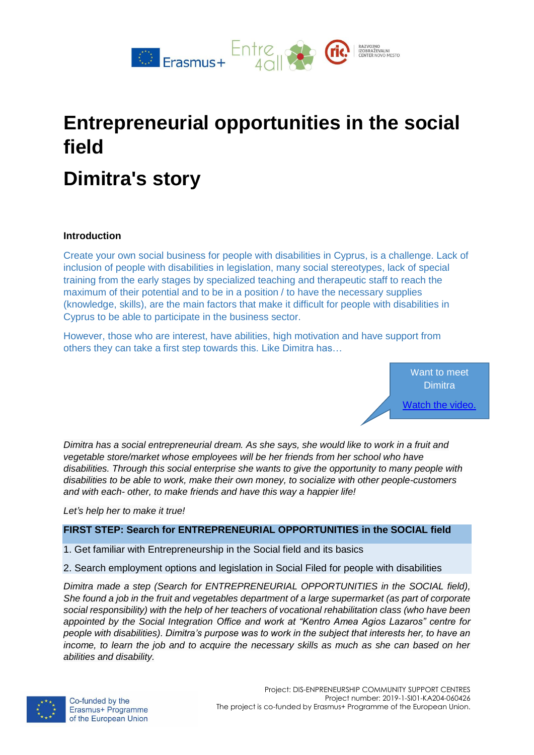

# **Entrepreneurial opportunities in the social field**

# **Dimitra's story**

## **Introduction**

Create your own social business for people with disabilities in Cyprus, is a challenge. Lack of inclusion of people with disabilities in legislation, many social stereotypes, lack of special training from the early stages by specialized teaching and therapeutic staff to reach the maximum of their potential and to be in a position / to have the necessary supplies (knowledge, skills), are the main factors that make it difficult for people with disabilities in Cyprus to be able to participate in the business sector.

However, those who are interest, have abilities, high motivation and have support from others they can take a first step towards this. Like Dimitra has…

> Want to meet **Dimitra** [Watch the video.](https://www.youtube.com/watch?v=vyFn05sRHDk)

*Dimitra has a social entrepreneurial dream. As she says, she would like to work in a fruit and vegetable store/market whose employees will be her friends from her school who have disabilities. Through this social enterprise she wants to give the opportunity to many people with disabilities to be able to work, make their own money, to socialize with other people-customers and with each- other, to make friends and have this way a happier life!*

*Let's help her to make it true!*

#### **FIRST STEP: Search for ENTREPRENEURIAL OPPORTUNITIES in the SOCIAL field**

- 1. Get familiar with Entrepreneurship in the Social field and its basics
- 2. Search employment options and legislation in Social Filed for people with disabilities

*Dimitra made a step (Search for ENTREPRENEURIAL OPPORTUNITIES in the SOCIAL field), She found a job in the fruit and vegetables department of a large supermarket (as part of corporate social responsibility) with the help of her teachers of vocational rehabilitation class (who have been appointed by the Social Integration Office and work at "Kentro Amea Agios Lazaros" centre for people with disabilities). Dimitra's purpose was to work in the subject that interests her, to have an income, to learn the job and to acquire the necessary skills as much as she can based on her abilities and disability.* 

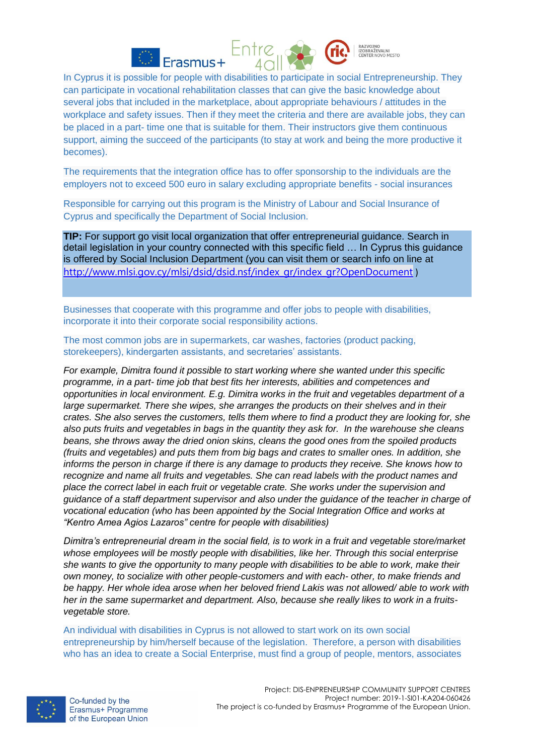



**AZVOJNO** 

In Cyprus it is possible for people with disabilities to participate in social Entrepreneurship. They can participate in vocational rehabilitation classes that can give the basic knowledge about several jobs that included in the marketplace, about appropriate behaviours / attitudes in the workplace and safety issues. Then if they meet the criteria and there are available jobs, they can be placed in a part- time one that is suitable for them. Their instructors give them continuous support, aiming the succeed of the participants (to stay at work and being the more productive it becomes).

The requirements that the integration office has to offer sponsorship to the individuals are the employers not to exceed 500 euro in salary excluding appropriate benefits - social insurances

Responsible for carrying out this program is the Ministry of Labour and Social Insurance of Cyprus and specifically the Department of Social Inclusion.

**TIP:** For support go visit local organization that offer entrepreneurial guidance. Search in detail legislation in your country connected with this specific field … In Cyprus this guidance is offered by Social Inclusion Department (you can visit them or search info on line at [http://www.mlsi.gov.cy/mlsi/dsid/dsid.nsf/index\\_gr/index\\_gr?OpenDocument](http://www.mlsi.gov.cy/mlsi/dsid/dsid.nsf/index_gr/index_gr?OpenDocument&fbclid=IwAR3UwCKmP40o6IJwVtc4QQb3L1KuhBtaQ3WwA0pA7XIvXpHd0PmPD1wM8Mw) )

Businesses that cooperate with this programme and offer jobs to people with disabilities, incorporate it into their corporate social responsibility actions.

The most common jobs are in supermarkets, car washes, factories (product packing, storekeepers), kindergarten assistants, and secretaries' assistants.

*For example, Dimitra found it possible to start working where she wanted under this specific programme, in a part- time job that best fits her interests, abilities and competences and opportunities in local environment. E.g. Dimitra works in the fruit and vegetables department of a large supermarket. There she wipes, she arranges the products on their shelves and in their crates. She also serves the customers, tells them where to find a product they are looking for, she also puts fruits and vegetables in bags in the quantity they ask for. In the warehouse she cleans beans, she throws away the dried onion skins, cleans the good ones from the spoiled products (fruits and vegetables) and puts them from big bags and crates to smaller ones. In addition, she informs the person in charge if there is any damage to products they receive. She knows how to recognize and name all fruits and vegetables. She can read labels with the product names and place the correct label in each fruit or vegetable crate. She works under the supervision and guidance of a staff department supervisor and also under the guidance of the teacher in charge of vocational education (who has been appointed by the Social Integration Office and works at "Kentro Amea Agios Lazaros" centre for people with disabilities)* 

*Dimitra's entrepreneurial dream in the social field, is to work in a fruit and vegetable store/market whose employees will be mostly people with disabilities, like her. Through this social enterprise she wants to give the opportunity to many people with disabilities to be able to work, make their own money, to socialize with other people-customers and with each- other, to make friends and be happy. Her whole idea arose when her beloved friend Lakis was not allowed/ able to work with her in the same supermarket and department. Also, because she really likes to work in a fruitsvegetable store.* 

An individual with disabilities in Cyprus is not allowed to start work on its own social entrepreneurship by him/herself because of the legislation. Therefore, a person with disabilities who has an idea to create a Social Enterprise, must find a group of people, mentors, associates

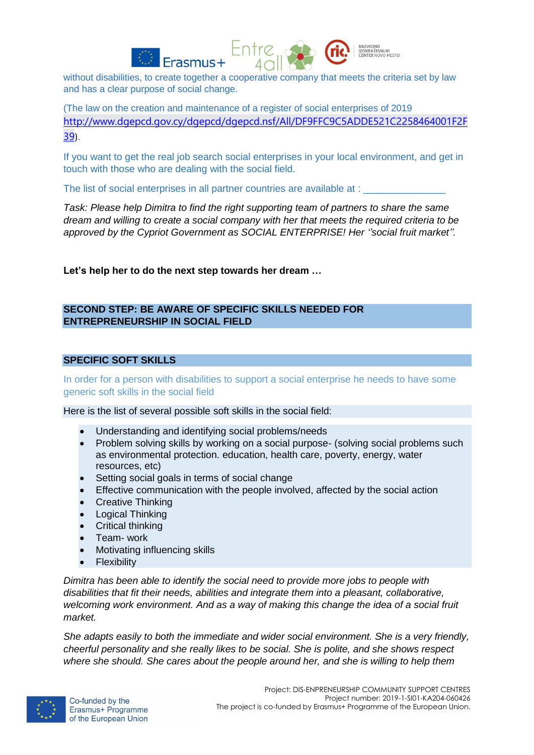



RAZVOJNO

(The law on the creation and maintenance of a register of social enterprises of 2019 [http://www.dgepcd.gov.cy/dgepcd/dgepcd.nsf/All/DF9FFC9C5ADDE521C2258464001F2F](http://www.dgepcd.gov.cy/dgepcd/dgepcd.nsf/All/DF9FFC9C5ADDE521C2258464001F2F39) [39](http://www.dgepcd.gov.cy/dgepcd/dgepcd.nsf/All/DF9FFC9C5ADDE521C2258464001F2F39)).

If you want to get the real job search social enterprises in your local environment, and get in touch with those who are dealing with the social field.

The list of social enterprises in all partner countries are available at :

*Task: Please help Dimitra to find the right supporting team of partners to share the same dream and willing to create a social company with her that meets the required criteria to be approved by the Cypriot Government as SOCIAL ENTERPRISE! Her ''social fruit market''.*

**Let's help her to do the next step towards her dream …**

# **SECOND STEP: BE AWARE OF SPECIFIC SKILLS NEEDED FOR ENTREPRENEURSHIP IN SOCIAL FIELD**

#### **SPECIFIC SOFT SKILLS**

In order for a person with disabilities to support a social enterprise he needs to have some generic soft skills in the social field

Here is the list of several possible soft skills in the social field:

- Understanding and identifying social problems/needs
- Problem solving skills by working on a social purpose- (solving social problems such as environmental protection. education, health care, poverty, energy, water resources, etc)
- Setting social goals in terms of social change
- Effective communication with the people involved, affected by the social action
- Creative Thinking
- Logical Thinking
- Critical thinking
- Team- work
- Motivating influencing skills
- Flexibility

*Dimitra has been able to identify the social need to provide more jobs to people with disabilities that fit their needs, abilities and integrate them into a pleasant, collaborative, welcoming work environment. And as a way of making this change the idea of a social fruit market.* 

*She adapts easily to both the immediate and wider social environment. She is a very friendly, cheerful personality and she really likes to be social. She is polite, and she shows respect where she should. She cares about the people around her, and she is willing to help them* 

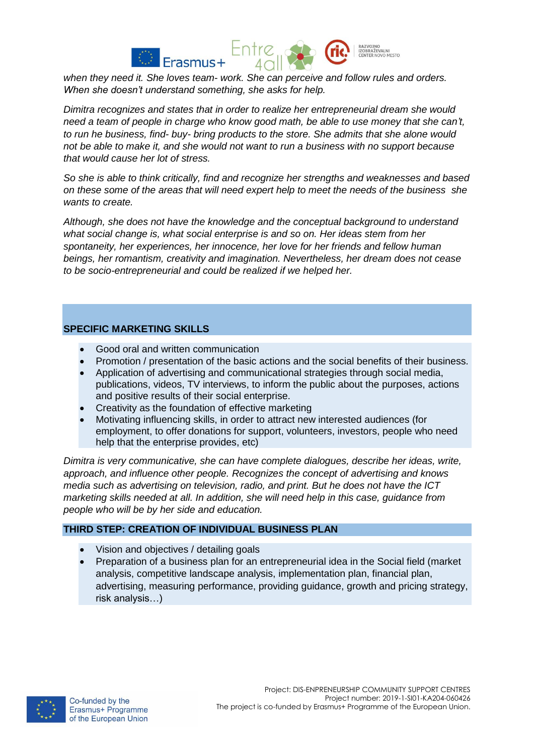

*when they need it. She loves team- work. She can perceive and follow rules and orders. When she doesn't understand something, she asks for help.* 

*Dimitra recognizes and states that in order to realize her entrepreneurial dream she would need a team of people in charge who know good math, be able to use money that she can't, to run he business, find- buy- bring products to the store. She admits that she alone would not be able to make it, and she would not want to run a business with no support because that would cause her lot of stress.* 

*So she is able to think critically, find and recognize her strengths and weaknesses and based on these some of the areas that will need expert help to meet the needs of the business she wants to create.*

*Although, she does not have the knowledge and the conceptual background to understand what social change is, what social enterprise is and so on. Her ideas stem from her spontaneity, her experiences, her innocence, her love for her friends and fellow human beings, her romantism, creativity and imagination. Nevertheless, her dream does not cease to be socio-entrepreneurial and could be realized if we helped her.*

## **SPECIFIC MARKETING SKILLS**

- Good oral and written communication
- Promotion / presentation of the basic actions and the social benefits of their business.
- Application of advertising and communicational strategies through social media, publications, videos, TV interviews, to inform the public about the purposes, actions and positive results of their social enterprise.
- Creativity as the foundation of effective marketing
- Motivating influencing skills, in order to attract new interested audiences (for employment, to offer donations for support, volunteers, investors, people who need help that the enterprise provides, etc)

*Dimitra is very communicative, she can have complete dialogues, describe her ideas, write, approach, and influence other people. Recognizes the concept of advertising and knows media such as advertising on television, radio, and print. But he does not have the ICT marketing skills needed at all. In addition, she will need help in this case, guidance from people who will be by her side and education.* 

#### **THIRD STEP: CREATION OF INDIVIDUAL BUSINESS PLAN**

- Vision and objectives / detailing goals
- Preparation of a business plan for an entrepreneurial idea in the Social field (market analysis, competitive landscape analysis, implementation plan, financial plan, advertising, measuring performance, providing guidance, growth and pricing strategy, risk analysis…)